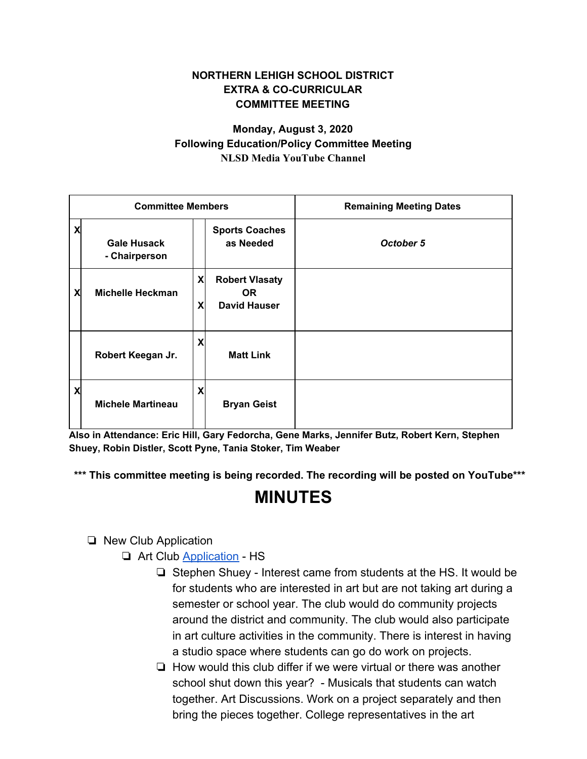### **NORTHERN LEHIGH SCHOOL DISTRICT EXTRA & CO-CURRICULAR COMMITTEE MEETING**

### **Monday, August 3, 2020 Following Education/Policy Committee Meeting NLSD Media YouTube Channel**

| <b>Committee Members</b>  |                                     |        |                                                           | <b>Remaining Meeting Dates</b> |
|---------------------------|-------------------------------------|--------|-----------------------------------------------------------|--------------------------------|
| $\boldsymbol{\mathsf{x}}$ | <b>Gale Husack</b><br>- Chairperson |        | <b>Sports Coaches</b><br>as Needed                        | October 5                      |
| X                         | <b>Michelle Heckman</b>             | X<br>X | <b>Robert Vlasaty</b><br><b>OR</b><br><b>David Hauser</b> |                                |
|                           | Robert Keegan Jr.                   | X      | <b>Matt Link</b>                                          |                                |
| X                         | <b>Michele Martineau</b>            | X      | <b>Bryan Geist</b>                                        |                                |

**Also in Attendance: Eric Hill, Gary Fedorcha, Gene Marks, Jennifer Butz, Robert Kern, Stephen Shuey, Robin Distler, Scott Pyne, Tania Stoker, Tim Weaber**

**\*\*\* This committee meeting is being recorded. The recording will be posted on YouTube\*\*\***

# **MINUTES**

#### ❏ New Club Application

❏ Art Club [Application](https://drive.google.com/file/d/1HvYGZJ3qaa6byT96IYebrdCpfSo9NcFL/view?usp=sharing) - HS

- ❏ Stephen Shuey Interest came from students at the HS. It would be for students who are interested in art but are not taking art during a semester or school year. The club would do community projects around the district and community. The club would also participate in art culture activities in the community. There is interest in having a studio space where students can go do work on projects.
- ❏ How would this club differ if we were virtual or there was another school shut down this year? - Musicals that students can watch together. Art Discussions. Work on a project separately and then bring the pieces together. College representatives in the art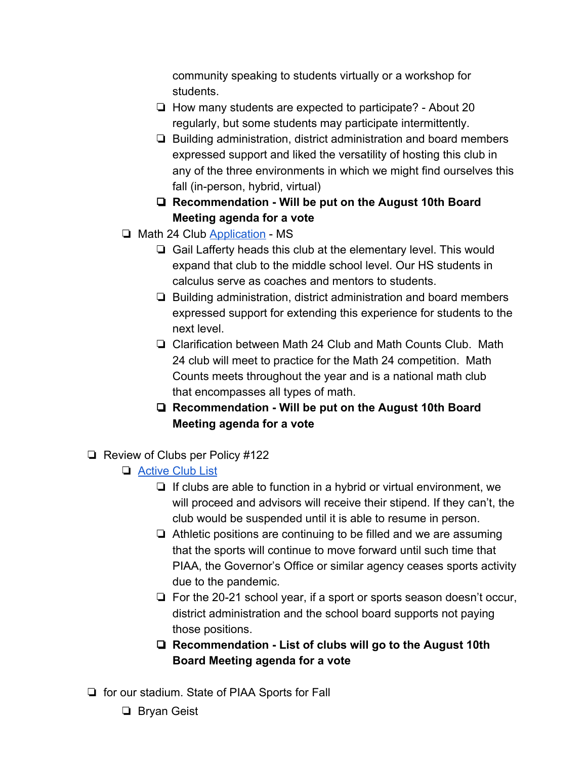community speaking to students virtually or a workshop for students.

- ❏ How many students are expected to participate? About 20 regularly, but some students may participate intermittently.
- ❏ Building administration, district administration and board members expressed support and liked the versatility of hosting this club in any of the three environments in which we might find ourselves this fall (in-person, hybrid, virtual)
- ❏ **Recommendation Will be put on the August 10th Board Meeting agenda for a vote**
- ❏ Math 24 Club [Application](https://drive.google.com/file/d/1GO0FGrU7j2JjCJ36sO8ll2mebiKmzD59/view?usp=sharing)  MS
	- ❏ Gail Lafferty heads this club at the elementary level. This would expand that club to the middle school level. Our HS students in calculus serve as coaches and mentors to students.
	- ❏ Building administration, district administration and board members expressed support for extending this experience for students to the next level.
	- ❏ Clarification between Math 24 Club and Math Counts Club. Math 24 club will meet to practice for the Math 24 competition. Math Counts meets throughout the year and is a national math club that encompasses all types of math.
	- ❏ **Recommendation Will be put on the August 10th Board Meeting agenda for a vote**
- ❏ Review of Clubs per Policy #122
	- ❏ [Active Club List](https://docs.google.com/document/d/1Az-HvnVusyjpmRx6U5h4l7zCWXRZX3PBFG0E5t0ItSg/edit?usp=sharing)
		- ❏ If clubs are able to function in a hybrid or virtual environment, we will proceed and advisors will receive their stipend. If they can't, the club would be suspended until it is able to resume in person.
		- ❏ Athletic positions are continuing to be filled and we are assuming that the sports will continue to move forward until such time that PIAA, the Governor's Office or similar agency ceases sports activity due to the pandemic.
		- ❏ For the 20-21 school year, if a sport or sports season doesn't occur, district administration and the school board supports not paying those positions.
		- ❏ **Recommendation List of clubs will go to the August 10th Board Meeting agenda for a vote**
- ❏ for our stadium. State of PIAA Sports for Fall
	- ❏ Bryan Geist